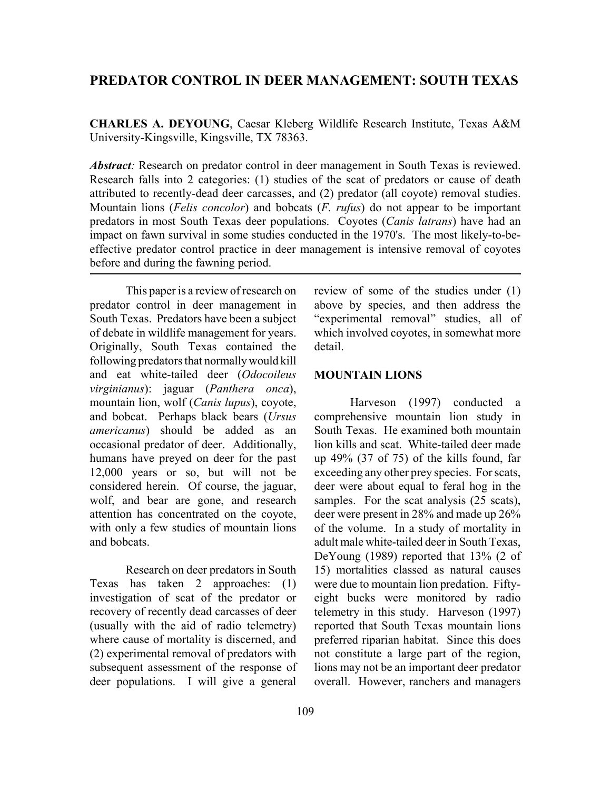# **PREDATOR CONTROL IN DEER MANAGEMENT: SOUTH TEXAS**

**CHARLES A. DEYOUNG**, Caesar Kleberg Wildlife Research Institute, Texas A&M University-Kingsville, Kingsville, TX 78363.

*Abstract*: Research on predator control in deer management in South Texas is reviewed. Research falls into 2 categories: (1) studies of the scat of predators or cause of death attributed to recently-dead deer carcasses, and (2) predator (all coyote) removal studies. Mountain lions (*Felis concolor*) and bobcats (*F. rufus*) do not appear to be important predators in most South Texas deer populations. Coyotes (*Canis latrans*) have had an impact on fawn survival in some studies conducted in the 1970's. The most likely-to-beeffective predator control practice in deer management is intensive removal of coyotes before and during the fawning period.

This paper is a review of research on predator control in deer management in South Texas. Predators have been a subject of debate in wildlife management for years. Originally, South Texas contained the following predators that normally would kill and eat white-tailed deer (*Odocoileus virginianus*): jaguar (*Panthera onca*), mountain lion, wolf (*Canis lupus*), coyote, and bobcat. Perhaps black bears (*Ursus americanus*) should be added as an occasional predator of deer. Additionally, humans have preyed on deer for the past 12,000 years or so, but will not be considered herein. Of course, the jaguar, wolf, and bear are gone, and research attention has concentrated on the coyote, with only a few studies of mountain lions and bobcats.

Research on deer predators in South Texas has taken 2 approaches: (1) investigation of scat of the predator or recovery of recently dead carcasses of deer (usually with the aid of radio telemetry) where cause of mortality is discerned, and (2) experimental removal of predators with subsequent assessment of the response of deer populations. I will give a general

review of some of the studies under (1) above by species, and then address the "experimental removal" studies, all of which involved coyotes, in somewhat more detail.

## **MOUNTAIN LIONS**

Harveson (1997) conducted a comprehensive mountain lion study in South Texas. He examined both mountain lion kills and scat. White-tailed deer made up 49% (37 of 75) of the kills found, far exceeding any other prey species. For scats, deer were about equal to feral hog in the samples. For the scat analysis (25 scats), deer were present in 28% and made up 26% of the volume. In a study of mortality in adult male white-tailed deer in South Texas, DeYoung (1989) reported that 13% (2 of 15) mortalities classed as natural causes were due to mountain lion predation. Fiftyeight bucks were monitored by radio telemetry in this study. Harveson (1997) reported that South Texas mountain lions preferred riparian habitat. Since this does not constitute a large part of the region, lions may not be an important deer predator overall. However, ranchers and managers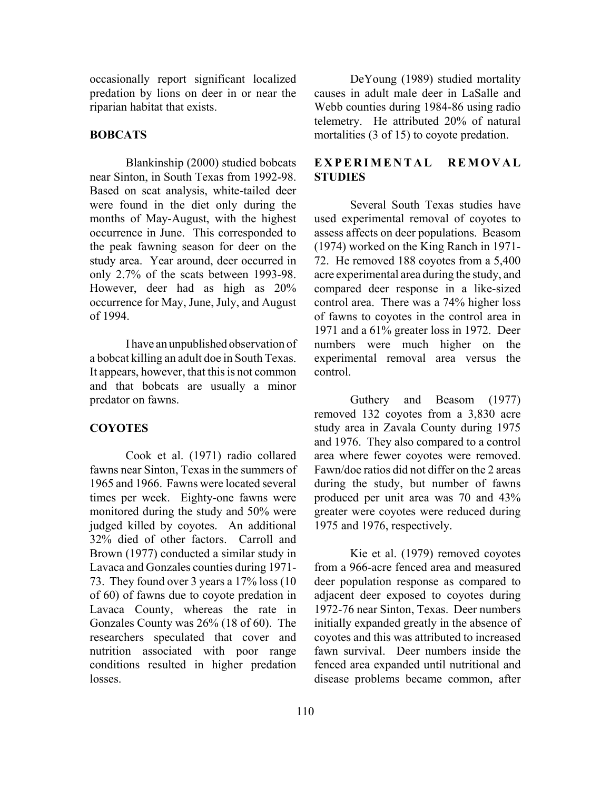occasionally report significant localized predation by lions on deer in or near the riparian habitat that exists.

## **BOBCATS**

Blankinship (2000) studied bobcats near Sinton, in South Texas from 1992-98. Based on scat analysis, white-tailed deer were found in the diet only during the months of May-August, with the highest occurrence in June. This corresponded to the peak fawning season for deer on the study area. Year around, deer occurred in only 2.7% of the scats between 1993-98. However, deer had as high as 20% occurrence for May, June, July, and August of 1994.

I have an unpublished observation of a bobcat killing an adult doe in South Texas. It appears, however, that this is not common and that bobcats are usually a minor predator on fawns.

## **COYOTES**

Cook et al. (1971) radio collared fawns near Sinton, Texas in the summers of 1965 and 1966. Fawns were located several times per week. Eighty-one fawns were monitored during the study and 50% were judged killed by coyotes. An additional 32% died of other factors. Carroll and Brown (1977) conducted a similar study in Lavaca and Gonzales counties during 1971- 73. They found over 3 years a 17% loss (10 of 60) of fawns due to coyote predation in Lavaca County, whereas the rate in Gonzales County was 26% (18 of 60). The researchers speculated that cover and nutrition associated with poor range conditions resulted in higher predation losses.

DeYoung (1989) studied mortality causes in adult male deer in LaSalle and Webb counties during 1984-86 using radio telemetry. He attributed 20% of natural mortalities (3 of 15) to coyote predation.

## **EXPERIMENTAL REMOVAL STUDIES**

Several South Texas studies have used experimental removal of coyotes to assess affects on deer populations. Beasom (1974) worked on the King Ranch in 1971- 72. He removed 188 coyotes from a 5,400 acre experimental area during the study, and compared deer response in a like-sized control area. There was a 74% higher loss of fawns to coyotes in the control area in 1971 and a 61% greater loss in 1972. Deer numbers were much higher on the experimental removal area versus the control.

Guthery and Beasom (1977) removed 132 coyotes from a 3,830 acre study area in Zavala County during 1975 and 1976. They also compared to a control area where fewer coyotes were removed. Fawn/doe ratios did not differ on the 2 areas during the study, but number of fawns produced per unit area was 70 and 43% greater were coyotes were reduced during 1975 and 1976, respectively.

Kie et al. (1979) removed coyotes from a 966-acre fenced area and measured deer population response as compared to adjacent deer exposed to coyotes during 1972-76 near Sinton, Texas. Deer numbers initially expanded greatly in the absence of coyotes and this was attributed to increased fawn survival. Deer numbers inside the fenced area expanded until nutritional and disease problems became common, after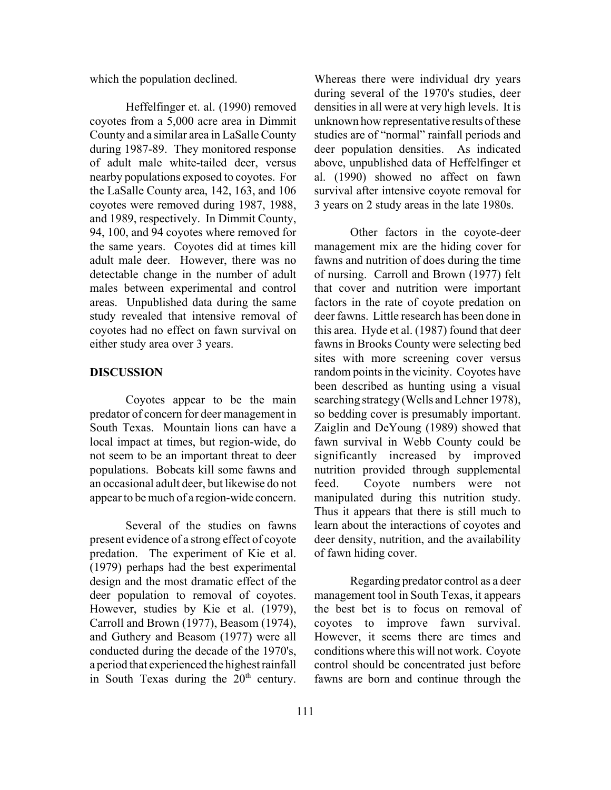which the population declined.

Heffelfinger et. al. (1990) removed coyotes from a 5,000 acre area in Dimmit County and a similar area in LaSalle County during 1987-89. They monitored response of adult male white-tailed deer, versus nearby populations exposed to coyotes. For the LaSalle County area, 142, 163, and 106 coyotes were removed during 1987, 1988, and 1989, respectively. In Dimmit County, 94, 100, and 94 coyotes where removed for the same years. Coyotes did at times kill adult male deer. However, there was no detectable change in the number of adult males between experimental and control areas. Unpublished data during the same study revealed that intensive removal of coyotes had no effect on fawn survival on either study area over 3 years.

## **DISCUSSION**

Coyotes appear to be the main predator of concern for deer management in South Texas. Mountain lions can have a local impact at times, but region-wide, do not seem to be an important threat to deer populations. Bobcats kill some fawns and an occasional adult deer, but likewise do not appear to be much of a region-wide concern.

Several of the studies on fawns present evidence of a strong effect of coyote predation. The experiment of Kie et al. (1979) perhaps had the best experimental design and the most dramatic effect of the deer population to removal of coyotes. However, studies by Kie et al. (1979), Carroll and Brown (1977), Beasom (1974), and Guthery and Beasom (1977) were all conducted during the decade of the 1970's, a period that experienced the highest rainfall in South Texas during the  $20<sup>th</sup>$  century.

Whereas there were individual dry years during several of the 1970's studies, deer densities in all were at very high levels. It is unknown how representative results of these studies are of "normal" rainfall periods and deer population densities. As indicated above, unpublished data of Heffelfinger et al. (1990) showed no affect on fawn survival after intensive coyote removal for 3 years on 2 study areas in the late 1980s.

Other factors in the coyote-deer management mix are the hiding cover for fawns and nutrition of does during the time of nursing. Carroll and Brown (1977) felt that cover and nutrition were important factors in the rate of coyote predation on deer fawns. Little research has been done in this area. Hyde et al. (1987) found that deer fawns in Brooks County were selecting bed sites with more screening cover versus random points in the vicinity. Coyotes have been described as hunting using a visual searching strategy (Wells and Lehner 1978), so bedding cover is presumably important. Zaiglin and DeYoung (1989) showed that fawn survival in Webb County could be significantly increased by improved nutrition provided through supplemental feed. Coyote numbers were not manipulated during this nutrition study. Thus it appears that there is still much to learn about the interactions of coyotes and deer density, nutrition, and the availability of fawn hiding cover.

Regarding predator control as a deer management tool in South Texas, it appears the best bet is to focus on removal of coyotes to improve fawn survival. However, it seems there are times and conditions where this will not work. Coyote control should be concentrated just before fawns are born and continue through the